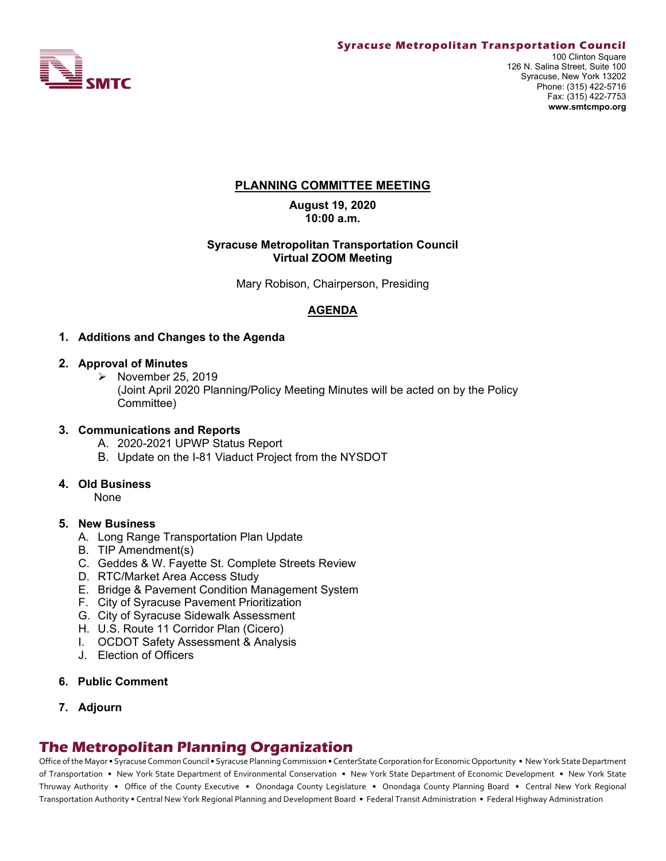

# **PLANNING COMMITTEE MEETING**

**August 19, 2020 10:00 a.m.**

#### **Syracuse Metropolitan Transportation Council Virtual ZOOM Meeting**

Mary Robison, Chairperson, Presiding

# **AGENDA**

#### **1. Additions and Changes to the Agenda**

#### **2. Approval of Minutes**

 $\triangleright$  November 25, 2019 (Joint April 2020 Planning/Policy Meeting Minutes will be acted on by the Policy Committee)

#### **3. Communications and Reports**

- A. 2020-2021 UPWP Status Report
- B. Update on the I-81 Viaduct Project from the NYSDOT

#### **4. Old Business**

None

#### **5. New Business**

- A. Long Range Transportation Plan Update
- B. TIP Amendment(s)
- C. Geddes & W. Fayette St. Complete Streets Review
- D. RTC/Market Area Access Study
- E. Bridge & Pavement Condition Management System
- F. City of Syracuse Pavement Prioritization
- G. City of Syracuse Sidewalk Assessment
- H. U.S. Route 11 Corridor Plan (Cicero)
- I. OCDOT Safety Assessment & Analysis
- J. Election of Officers

#### **6. Public Comment**

**7. Adjourn**

# **The Metropolitan Planning Organization**

Office of the Mayor • Syracuse Common Council • Syracuse Planning Commission • CenterState Corporation for Economic Opportunity • New York State Department of Transportation • New York State Department of Environmental Conservation • New York State Department of Economic Development • New York State Thruway Authority • Office of the County Executive • Onondaga County Legislature • Onondaga County Planning Board • Central New York Regional Transportation Authority • Central New York Regional Planning and Development Board • Federal Transit Administration • Federal Highway Administration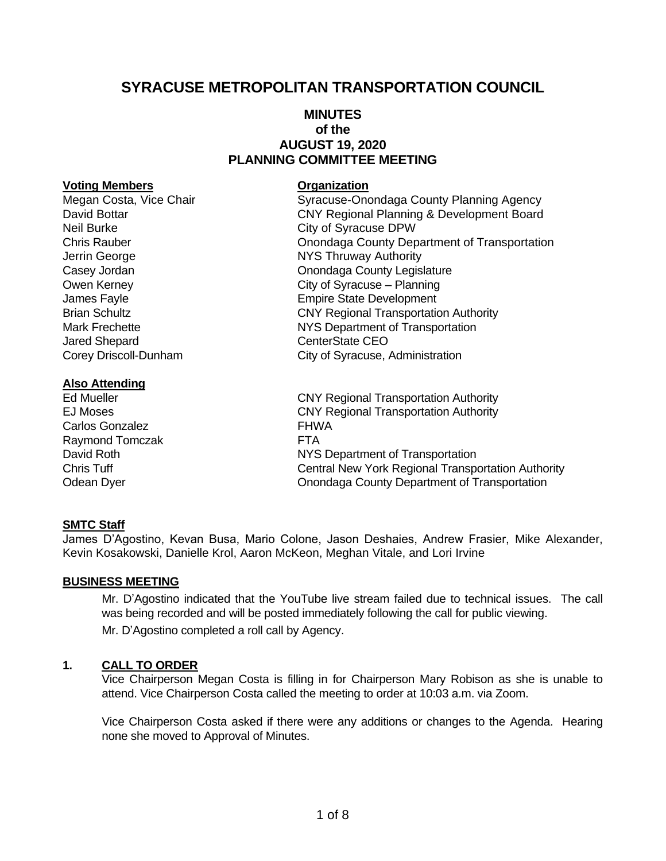# **SYRACUSE METROPOLITAN TRANSPORTATION COUNCIL**

# **MINUTES of the AUGUST 19, 2020 PLANNING COMMITTEE MEETING**

#### **Voting Members Organization**

Megan Costa, Vice Chair **Syracuse-Onondaga County Planning Agency** Neil Burke City of Syracuse DPW Jerrin George **NYS Thruway Authority** Jared Shepard **CenterState CEO** 

#### **Also Attending**

Carlos Gonzalez **FHWA** Raymond Tomczak FTA

# David Bottar CNY Regional Planning & Development Board Chris Rauber Onondaga County Department of Transportation Casey Jordan Casey Jordan Casey Jordan Casey Jordan County Legislature Owen Kerney City of Syracuse – Planning James Fayle **Empire State Development** Brian Schultz CNY Regional Transportation Authority Mark Frechette **NYS Department of Transportation** Corey Driscoll-Dunham City of Syracuse, Administration

Ed Mueller CNY Regional Transportation Authority EJ Moses CNY Regional Transportation Authority David Roth NYS Department of Transportation Chris Tuff Central New York Regional Transportation Authority Odean Dyer Onondaga County Department of Transportation

# **SMTC Staff**

James D'Agostino, Kevan Busa, Mario Colone, Jason Deshaies, Andrew Frasier, Mike Alexander, Kevin Kosakowski, Danielle Krol, Aaron McKeon, Meghan Vitale, and Lori Irvine

#### **BUSINESS MEETING**

Mr. D'Agostino indicated that the YouTube live stream failed due to technical issues. The call was being recorded and will be posted immediately following the call for public viewing. Mr. D'Agostino completed a roll call by Agency.

# **1. CALL TO ORDER**

Vice Chairperson Megan Costa is filling in for Chairperson Mary Robison as she is unable to attend. Vice Chairperson Costa called the meeting to order at 10:03 a.m. via Zoom.

Vice Chairperson Costa asked if there were any additions or changes to the Agenda. Hearing none she moved to Approval of Minutes.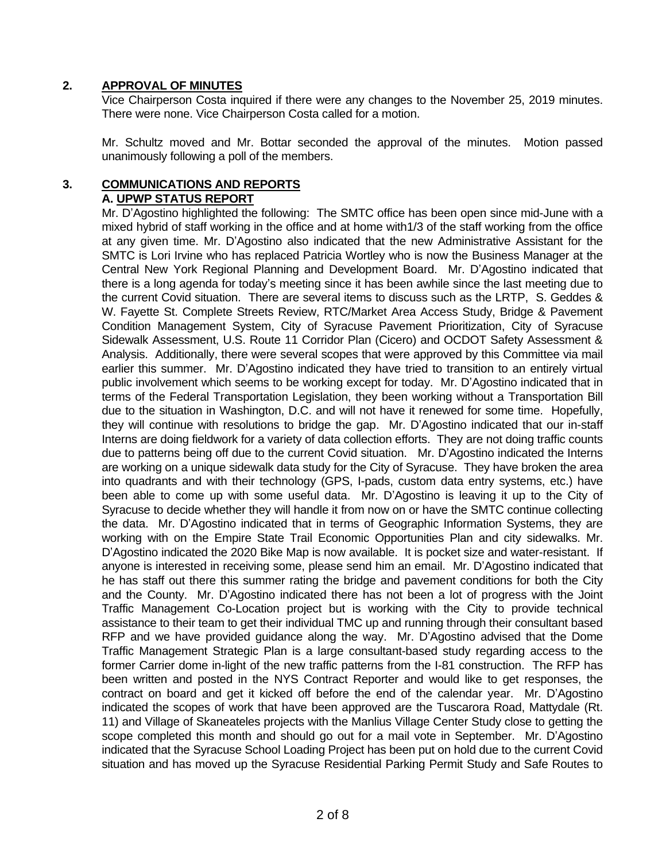# **2. APPROVAL OF MINUTES**

Vice Chairperson Costa inquired if there were any changes to the November 25, 2019 minutes. There were none. Vice Chairperson Costa called for a motion.

Mr. Schultz moved and Mr. Bottar seconded the approval of the minutes. Motion passed unanimously following a poll of the members.

### **3. COMMUNICATIONS AND REPORTS A. UPWP STATUS REPORT**

Mr. D'Agostino highlighted the following: The SMTC office has been open since mid-June with a mixed hybrid of staff working in the office and at home with1/3 of the staff working from the office at any given time. Mr. D'Agostino also indicated that the new Administrative Assistant for the SMTC is Lori Irvine who has replaced Patricia Wortley who is now the Business Manager at the Central New York Regional Planning and Development Board. Mr. D'Agostino indicated that there is a long agenda for today's meeting since it has been awhile since the last meeting due to the current Covid situation. There are several items to discuss such as the LRTP, S. Geddes & W. Fayette St. Complete Streets Review, RTC/Market Area Access Study, Bridge & Pavement Condition Management System, City of Syracuse Pavement Prioritization, City of Syracuse Sidewalk Assessment, U.S. Route 11 Corridor Plan (Cicero) and OCDOT Safety Assessment & Analysis. Additionally, there were several scopes that were approved by this Committee via mail earlier this summer. Mr. D'Agostino indicated they have tried to transition to an entirely virtual public involvement which seems to be working except for today. Mr. D'Agostino indicated that in terms of the Federal Transportation Legislation, they been working without a Transportation Bill due to the situation in Washington, D.C. and will not have it renewed for some time. Hopefully, they will continue with resolutions to bridge the gap. Mr. D'Agostino indicated that our in-staff Interns are doing fieldwork for a variety of data collection efforts. They are not doing traffic counts due to patterns being off due to the current Covid situation. Mr. D'Agostino indicated the Interns are working on a unique sidewalk data study for the City of Syracuse. They have broken the area into quadrants and with their technology (GPS, I-pads, custom data entry systems, etc.) have been able to come up with some useful data. Mr. D'Agostino is leaving it up to the City of Syracuse to decide whether they will handle it from now on or have the SMTC continue collecting the data. Mr. D'Agostino indicated that in terms of Geographic Information Systems, they are working with on the Empire State Trail Economic Opportunities Plan and city sidewalks. Mr. D'Agostino indicated the 2020 Bike Map is now available. It is pocket size and water-resistant. If anyone is interested in receiving some, please send him an email. Mr. D'Agostino indicated that he has staff out there this summer rating the bridge and pavement conditions for both the City and the County. Mr. D'Agostino indicated there has not been a lot of progress with the Joint Traffic Management Co-Location project but is working with the City to provide technical assistance to their team to get their individual TMC up and running through their consultant based RFP and we have provided guidance along the way. Mr. D'Agostino advised that the Dome Traffic Management Strategic Plan is a large consultant-based study regarding access to the former Carrier dome in-light of the new traffic patterns from the I-81 construction. The RFP has been written and posted in the NYS Contract Reporter and would like to get responses, the contract on board and get it kicked off before the end of the calendar year. Mr. D'Agostino indicated the scopes of work that have been approved are the Tuscarora Road, Mattydale (Rt. 11) and Village of Skaneateles projects with the Manlius Village Center Study close to getting the scope completed this month and should go out for a mail vote in September. Mr. D'Agostino indicated that the Syracuse School Loading Project has been put on hold due to the current Covid situation and has moved up the Syracuse Residential Parking Permit Study and Safe Routes to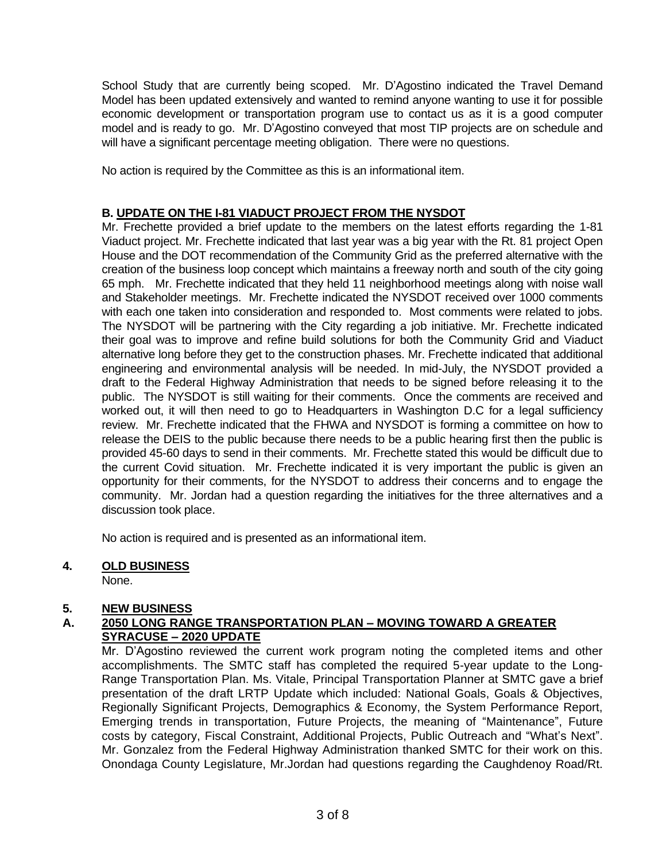School Study that are currently being scoped. Mr. D'Agostino indicated the Travel Demand Model has been updated extensively and wanted to remind anyone wanting to use it for possible economic development or transportation program use to contact us as it is a good computer model and is ready to go. Mr. D'Agostino conveyed that most TIP projects are on schedule and will have a significant percentage meeting obligation. There were no questions.

No action is required by the Committee as this is an informational item.

# **B. UPDATE ON THE I-81 VIADUCT PROJECT FROM THE NYSDOT**

Mr. Frechette provided a brief update to the members on the latest efforts regarding the 1-81 Viaduct project. Mr. Frechette indicated that last year was a big year with the Rt. 81 project Open House and the DOT recommendation of the Community Grid as the preferred alternative with the creation of the business loop concept which maintains a freeway north and south of the city going 65 mph. Mr. Frechette indicated that they held 11 neighborhood meetings along with noise wall and Stakeholder meetings. Mr. Frechette indicated the NYSDOT received over 1000 comments with each one taken into consideration and responded to. Most comments were related to jobs. The NYSDOT will be partnering with the City regarding a job initiative. Mr. Frechette indicated their goal was to improve and refine build solutions for both the Community Grid and Viaduct alternative long before they get to the construction phases. Mr. Frechette indicated that additional engineering and environmental analysis will be needed. In mid-July, the NYSDOT provided a draft to the Federal Highway Administration that needs to be signed before releasing it to the public. The NYSDOT is still waiting for their comments. Once the comments are received and worked out, it will then need to go to Headquarters in Washington D.C for a legal sufficiency review. Mr. Frechette indicated that the FHWA and NYSDOT is forming a committee on how to release the DEIS to the public because there needs to be a public hearing first then the public is provided 45-60 days to send in their comments. Mr. Frechette stated this would be difficult due to the current Covid situation. Mr. Frechette indicated it is very important the public is given an opportunity for their comments, for the NYSDOT to address their concerns and to engage the community. Mr. Jordan had a question regarding the initiatives for the three alternatives and a discussion took place.

No action is required and is presented as an informational item.

# **4. OLD BUSINESS**

None.

# **5. NEW BUSINESS**

# **A. 2050 LONG RANGE TRANSPORTATION PLAN – MOVING TOWARD A GREATER SYRACUSE – 2020 UPDATE**

Mr. D'Agostino reviewed the current work program noting the completed items and other accomplishments. The SMTC staff has completed the required 5-year update to the Long-Range Transportation Plan. Ms. Vitale, Principal Transportation Planner at SMTC gave a brief presentation of the draft LRTP Update which included: National Goals, Goals & Objectives, Regionally Significant Projects, Demographics & Economy, the System Performance Report, Emerging trends in transportation, Future Projects, the meaning of "Maintenance", Future costs by category, Fiscal Constraint, Additional Projects, Public Outreach and "What's Next". Mr. Gonzalez from the Federal Highway Administration thanked SMTC for their work on this. Onondaga County Legislature, Mr.Jordan had questions regarding the Caughdenoy Road/Rt.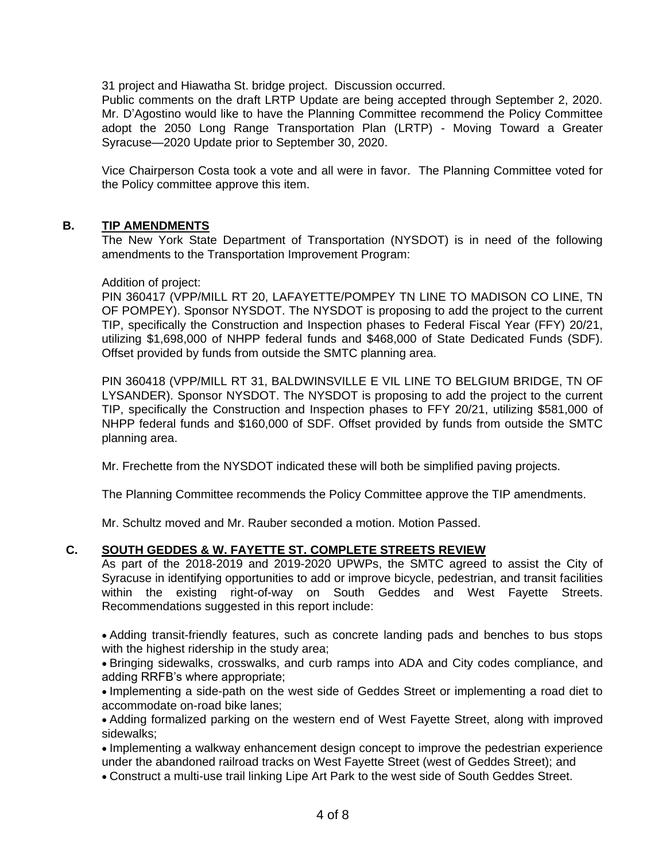31 project and Hiawatha St. bridge project. Discussion occurred.

Public comments on the draft LRTP Update are being accepted through September 2, 2020. Mr. D'Agostino would like to have the Planning Committee recommend the Policy Committee adopt the 2050 Long Range Transportation Plan (LRTP) - Moving Toward a Greater Syracuse—2020 Update prior to September 30, 2020.

Vice Chairperson Costa took a vote and all were in favor. The Planning Committee voted for the Policy committee approve this item.

# **B. TIP AMENDMENTS**

The New York State Department of Transportation (NYSDOT) is in need of the following amendments to the Transportation Improvement Program:

#### Addition of project:

PIN 360417 (VPP/MILL RT 20, LAFAYETTE/POMPEY TN LINE TO MADISON CO LINE, TN OF POMPEY). Sponsor NYSDOT. The NYSDOT is proposing to add the project to the current TIP, specifically the Construction and Inspection phases to Federal Fiscal Year (FFY) 20/21, utilizing \$1,698,000 of NHPP federal funds and \$468,000 of State Dedicated Funds (SDF). Offset provided by funds from outside the SMTC planning area.

PIN 360418 (VPP/MILL RT 31, BALDWINSVILLE E VIL LINE TO BELGIUM BRIDGE, TN OF LYSANDER). Sponsor NYSDOT. The NYSDOT is proposing to add the project to the current TIP, specifically the Construction and Inspection phases to FFY 20/21, utilizing \$581,000 of NHPP federal funds and \$160,000 of SDF. Offset provided by funds from outside the SMTC planning area.

Mr. Frechette from the NYSDOT indicated these will both be simplified paving projects.

The Planning Committee recommends the Policy Committee approve the TIP amendments.

Mr. Schultz moved and Mr. Rauber seconded a motion. Motion Passed.

# **C. SOUTH GEDDES & W. FAYETTE ST. COMPLETE STREETS REVIEW**

As part of the 2018-2019 and 2019-2020 UPWPs, the SMTC agreed to assist the City of Syracuse in identifying opportunities to add or improve bicycle, pedestrian, and transit facilities within the existing right-of-way on South Geddes and West Fayette Streets. Recommendations suggested in this report include:

• Adding transit-friendly features, such as concrete landing pads and benches to bus stops with the highest ridership in the study area;

• Bringing sidewalks, crosswalks, and curb ramps into ADA and City codes compliance, and adding RRFB's where appropriate;

• Implementing a side-path on the west side of Geddes Street or implementing a road diet to accommodate on-road bike lanes;

• Adding formalized parking on the western end of West Fayette Street, along with improved sidewalks;

• Implementing a walkway enhancement design concept to improve the pedestrian experience under the abandoned railroad tracks on West Fayette Street (west of Geddes Street); and

• Construct a multi-use trail linking Lipe Art Park to the west side of South Geddes Street.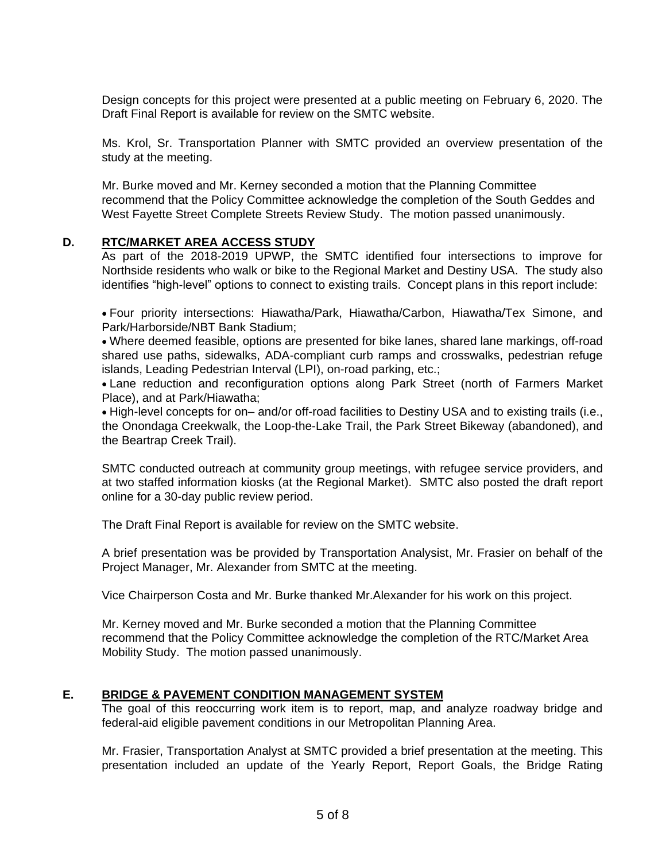Design concepts for this project were presented at a public meeting on February 6, 2020. The Draft Final Report is available for review on the SMTC website.

Ms. Krol, Sr. Transportation Planner with SMTC provided an overview presentation of the study at the meeting.

Mr. Burke moved and Mr. Kerney seconded a motion that the Planning Committee recommend that the Policy Committee acknowledge the completion of the South Geddes and West Fayette Street Complete Streets Review Study. The motion passed unanimously.

# **D. RTC/MARKET AREA ACCESS STUDY**

As part of the 2018-2019 UPWP, the SMTC identified four intersections to improve for Northside residents who walk or bike to the Regional Market and Destiny USA. The study also identifies "high-level" options to connect to existing trails. Concept plans in this report include:

• Four priority intersections: Hiawatha/Park, Hiawatha/Carbon, Hiawatha/Tex Simone, and Park/Harborside/NBT Bank Stadium;

• Where deemed feasible, options are presented for bike lanes, shared lane markings, off-road shared use paths, sidewalks, ADA-compliant curb ramps and crosswalks, pedestrian refuge islands, Leading Pedestrian Interval (LPI), on-road parking, etc.;

• Lane reduction and reconfiguration options along Park Street (north of Farmers Market Place), and at Park/Hiawatha;

• High-level concepts for on– and/or off-road facilities to Destiny USA and to existing trails (i.e., the Onondaga Creekwalk, the Loop-the-Lake Trail, the Park Street Bikeway (abandoned), and the Beartrap Creek Trail).

SMTC conducted outreach at community group meetings, with refugee service providers, and at two staffed information kiosks (at the Regional Market). SMTC also posted the draft report online for a 30-day public review period.

The Draft Final Report is available for review on the SMTC website.

A brief presentation was be provided by Transportation Analysist, Mr. Frasier on behalf of the Project Manager, Mr. Alexander from SMTC at the meeting.

Vice Chairperson Costa and Mr. Burke thanked Mr.Alexander for his work on this project.

Mr. Kerney moved and Mr. Burke seconded a motion that the Planning Committee recommend that the Policy Committee acknowledge the completion of the RTC/Market Area Mobility Study. The motion passed unanimously.

# **E. BRIDGE & PAVEMENT CONDITION MANAGEMENT SYSTEM**

The goal of this reoccurring work item is to report, map, and analyze roadway bridge and federal-aid eligible pavement conditions in our Metropolitan Planning Area.

Mr. Frasier, Transportation Analyst at SMTC provided a brief presentation at the meeting. This presentation included an update of the Yearly Report, Report Goals, the Bridge Rating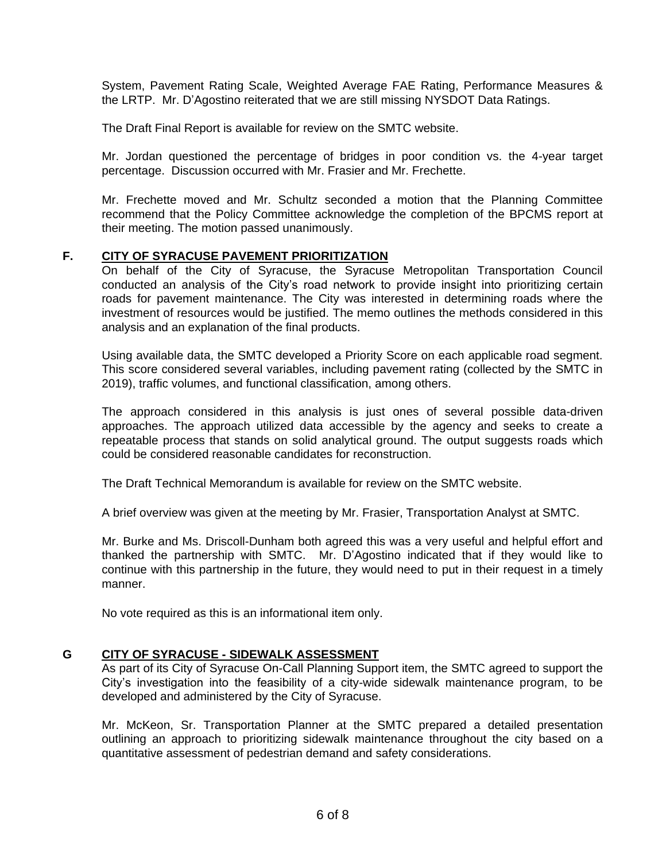System, Pavement Rating Scale, Weighted Average FAE Rating, Performance Measures & the LRTP. Mr. D'Agostino reiterated that we are still missing NYSDOT Data Ratings.

The Draft Final Report is available for review on the SMTC website.

Mr. Jordan questioned the percentage of bridges in poor condition vs. the 4-year target percentage. Discussion occurred with Mr. Frasier and Mr. Frechette.

Mr. Frechette moved and Mr. Schultz seconded a motion that the Planning Committee recommend that the Policy Committee acknowledge the completion of the BPCMS report at their meeting. The motion passed unanimously.

# **F. CITY OF SYRACUSE PAVEMENT PRIORITIZATION**

On behalf of the City of Syracuse, the Syracuse Metropolitan Transportation Council conducted an analysis of the City's road network to provide insight into prioritizing certain roads for pavement maintenance. The City was interested in determining roads where the investment of resources would be justified. The memo outlines the methods considered in this analysis and an explanation of the final products.

Using available data, the SMTC developed a Priority Score on each applicable road segment. This score considered several variables, including pavement rating (collected by the SMTC in 2019), traffic volumes, and functional classification, among others.

The approach considered in this analysis is just ones of several possible data-driven approaches. The approach utilized data accessible by the agency and seeks to create a repeatable process that stands on solid analytical ground. The output suggests roads which could be considered reasonable candidates for reconstruction.

The Draft Technical Memorandum is available for review on the SMTC website.

A brief overview was given at the meeting by Mr. Frasier, Transportation Analyst at SMTC.

Mr. Burke and Ms. Driscoll-Dunham both agreed this was a very useful and helpful effort and thanked the partnership with SMTC. Mr. D'Agostino indicated that if they would like to continue with this partnership in the future, they would need to put in their request in a timely manner.

No vote required as this is an informational item only.

# **G CITY OF SYRACUSE - SIDEWALK ASSESSMENT**

As part of its City of Syracuse On-Call Planning Support item, the SMTC agreed to support the City's investigation into the feasibility of a city-wide sidewalk maintenance program, to be developed and administered by the City of Syracuse.

Mr. McKeon, Sr. Transportation Planner at the SMTC prepared a detailed presentation outlining an approach to prioritizing sidewalk maintenance throughout the city based on a quantitative assessment of pedestrian demand and safety considerations.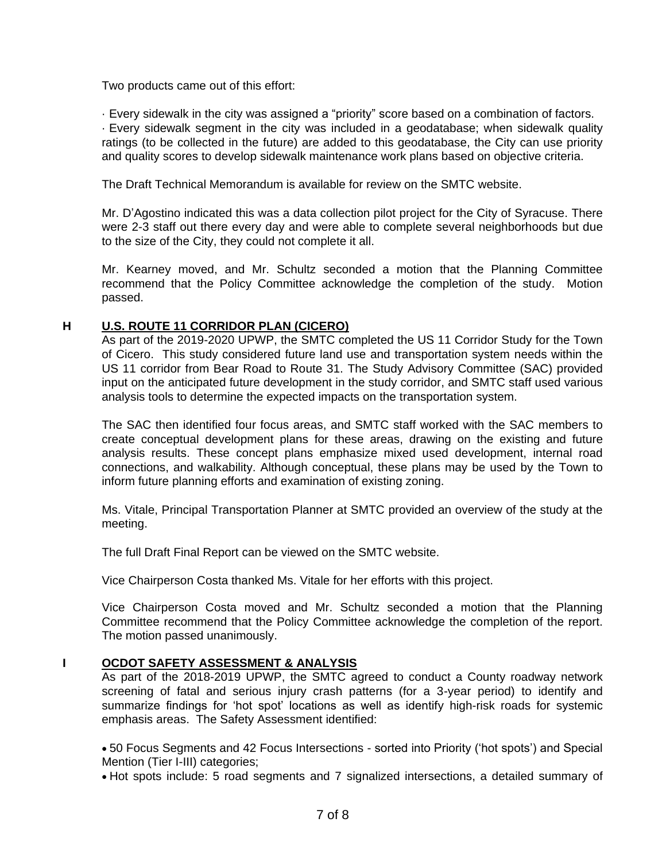Two products came out of this effort:

· Every sidewalk in the city was assigned a "priority" score based on a combination of factors. · Every sidewalk segment in the city was included in a geodatabase; when sidewalk quality ratings (to be collected in the future) are added to this geodatabase, the City can use priority and quality scores to develop sidewalk maintenance work plans based on objective criteria.

The Draft Technical Memorandum is available for review on the SMTC website.

Mr. D'Agostino indicated this was a data collection pilot project for the City of Syracuse. There were 2-3 staff out there every day and were able to complete several neighborhoods but due to the size of the City, they could not complete it all.

Mr. Kearney moved, and Mr. Schultz seconded a motion that the Planning Committee recommend that the Policy Committee acknowledge the completion of the study. Motion passed.

# **H U.S. ROUTE 11 CORRIDOR PLAN (CICERO)**

As part of the 2019-2020 UPWP, the SMTC completed the US 11 Corridor Study for the Town of Cicero. This study considered future land use and transportation system needs within the US 11 corridor from Bear Road to Route 31. The Study Advisory Committee (SAC) provided input on the anticipated future development in the study corridor, and SMTC staff used various analysis tools to determine the expected impacts on the transportation system.

The SAC then identified four focus areas, and SMTC staff worked with the SAC members to create conceptual development plans for these areas, drawing on the existing and future analysis results. These concept plans emphasize mixed used development, internal road connections, and walkability. Although conceptual, these plans may be used by the Town to inform future planning efforts and examination of existing zoning.

Ms. Vitale, Principal Transportation Planner at SMTC provided an overview of the study at the meeting.

The full Draft Final Report can be viewed on the SMTC website.

Vice Chairperson Costa thanked Ms. Vitale for her efforts with this project.

Vice Chairperson Costa moved and Mr. Schultz seconded a motion that the Planning Committee recommend that the Policy Committee acknowledge the completion of the report. The motion passed unanimously.

# **I OCDOT SAFETY ASSESSMENT & ANALYSIS**

As part of the 2018-2019 UPWP, the SMTC agreed to conduct a County roadway network screening of fatal and serious injury crash patterns (for a 3-year period) to identify and summarize findings for 'hot spot' locations as well as identify high-risk roads for systemic emphasis areas. The Safety Assessment identified:

• 50 Focus Segments and 42 Focus Intersections - sorted into Priority ('hot spots') and Special Mention (Tier I-III) categories;

• Hot spots include: 5 road segments and 7 signalized intersections, a detailed summary of